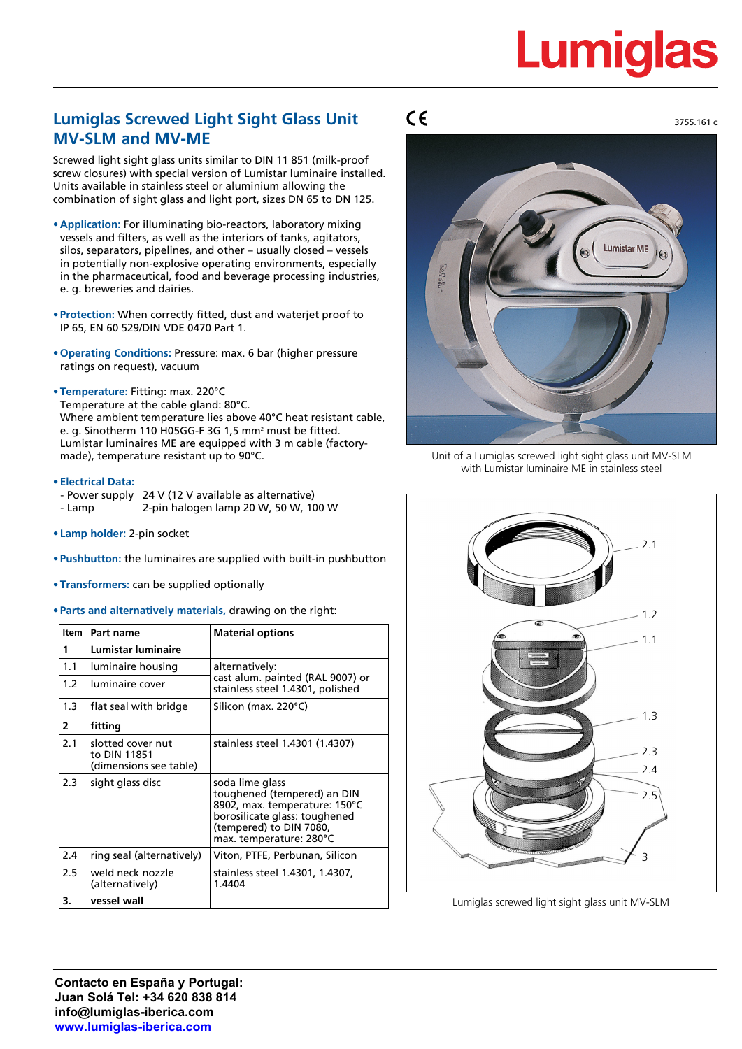# **Lumiglas**

3755.161 c

### **Lumiglas Screwed Light Sight Glass Unit MV-SLM and MV-ME**

Screwed light sight glass units similar to DIN 11 851 (milk-proof screw closures) with special version of Lumistar luminaire installed. Units available in stainless steel or aluminium allowing the combination of sight glass and light port, sizes DN 65 to DN 125.

- **• Application:** For illuminating bio-reactors, laboratory mixing vessels and filters, as well as the interiors of tanks, agitators, silos, separators, pipelines, and other – usually closed – vessels in potentially non-explosive operating environments, especially in the pharmaceutical, food and beverage processing industries, e. g. breweries and dairies.
- **• Protection:** When correctly fitted, dust and waterjet proof to IP 65, EN 60 529/DIN VDE 0470 Part 1.
- **• Operating Conditions:** Pressure: max. 6 bar (higher pressure ratings on request), vacuum
- **• Temperature:** Fitting: max. 220°C Temperature at the cable gland: 80°C. Where ambient temperature lies above 40°C heat resistant cable, e. g. Sinotherm 110 H05GG-F 3G 1,5 mm² must be fitted. Lumistar luminaires ME are equipped with 3 m cable (factorymade), temperature resistant up to 90°C.
- **• Electrical Data:**
- Power supply 24 V (12 V available as alternative) - Lamp 2-pin halogen lamp 20 W, 50 W, 100 W
- **• Lamp holder:** 2-pin socket
- **• Pushbutton:** the luminaires are supplied with built-in pushbutton
- **• Transformers:** can be supplied optionally
- **• Parts and alternatively materials,** drawing on the right:

| Item           | Part name                                                   | <b>Material options</b>                                                                                                                                                |  |  |
|----------------|-------------------------------------------------------------|------------------------------------------------------------------------------------------------------------------------------------------------------------------------|--|--|
| 1              | <b>Lumistar luminaire</b>                                   |                                                                                                                                                                        |  |  |
| 1.1            | luminaire housing                                           | alternatively:<br>cast alum. painted (RAL 9007) or<br>stainless steel 1.4301, polished                                                                                 |  |  |
| 1.2            | luminaire cover                                             |                                                                                                                                                                        |  |  |
| 1.3            | flat seal with bridge                                       | Silicon (max. 220°C)                                                                                                                                                   |  |  |
| $\overline{2}$ | fitting                                                     |                                                                                                                                                                        |  |  |
| 2.1            | slotted cover nut<br>to DIN 11851<br>(dimensions see table) | stainless steel 1.4301 (1.4307)                                                                                                                                        |  |  |
| 2.3            | sight glass disc                                            | soda lime glass<br>toughened (tempered) an DIN<br>8902, max. temperature: 150°C<br>borosilicate glass: toughened<br>(tempered) to DIN 7080,<br>max. temperature: 280°C |  |  |
| 2.4            | ring seal (alternatively)                                   | Viton, PTFE, Perbunan, Silicon                                                                                                                                         |  |  |
| 2.5            | weld neck nozzle<br>(alternatively)                         | stainless steel 1.4301, 1.4307,<br>1.4404                                                                                                                              |  |  |
| 3.             | vessel wall                                                 |                                                                                                                                                                        |  |  |

### $C\epsilon$



Unit of a Lumiglas screwed light sight glass unit MV-SLM with Lumistar luminaire ME in stainless steel



Lumiglas screwed light sight glass unit MV-SLM